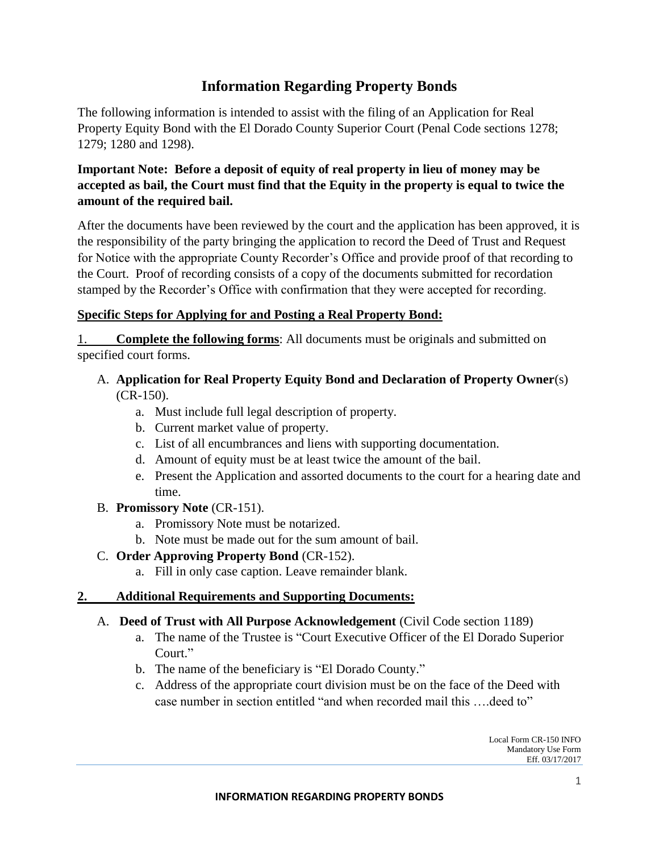# **Information Regarding Property Bonds**

The following information is intended to assist with the filing of an Application for Real Property Equity Bond with the El Dorado County Superior Court (Penal Code sections 1278; 1279; 1280 and 1298).

# **Important Note: Before a deposit of equity of real property in lieu of money may be accepted as bail, the Court must find that the Equity in the property is equal to twice the amount of the required bail.**

After the documents have been reviewed by the court and the application has been approved, it is the responsibility of the party bringing the application to record the Deed of Trust and Request for Notice with the appropriate County Recorder's Office and provide proof of that recording to the Court. Proof of recording consists of a copy of the documents submitted for recordation stamped by the Recorder's Office with confirmation that they were accepted for recording.

### **Specific Steps for Applying for and Posting a Real Property Bond:**

1. **Complete the following forms**: All documents must be originals and submitted on specified court forms.

#### A. **Application for Real Property Equity Bond and Declaration of Property Owner**(s) (CR-150).

- a. Must include full legal description of property.
- b. Current market value of property.
- c. List of all encumbrances and liens with supporting documentation.
- d. Amount of equity must be at least twice the amount of the bail.
- e. Present the Application and assorted documents to the court for a hearing date and time.
- B. **Promissory Note** (CR-151).
	- a. Promissory Note must be notarized.
	- b. Note must be made out for the sum amount of bail.

#### C. **Order Approving Property Bond** (CR-152).

a. Fill in only case caption. Leave remainder blank.

#### **2. Additional Requirements and Supporting Documents:**

- A. **Deed of Trust with All Purpose Acknowledgement** (Civil Code section 1189)
	- a. The name of the Trustee is "Court Executive Officer of the El Dorado Superior Court."
	- b. The name of the beneficiary is "El Dorado County."
	- c. Address of the appropriate court division must be on the face of the Deed with case number in section entitled "and when recorded mail this ….deed to"

Local Form CR-150 INFO Mandatory Use Form Eff. 03/17/2017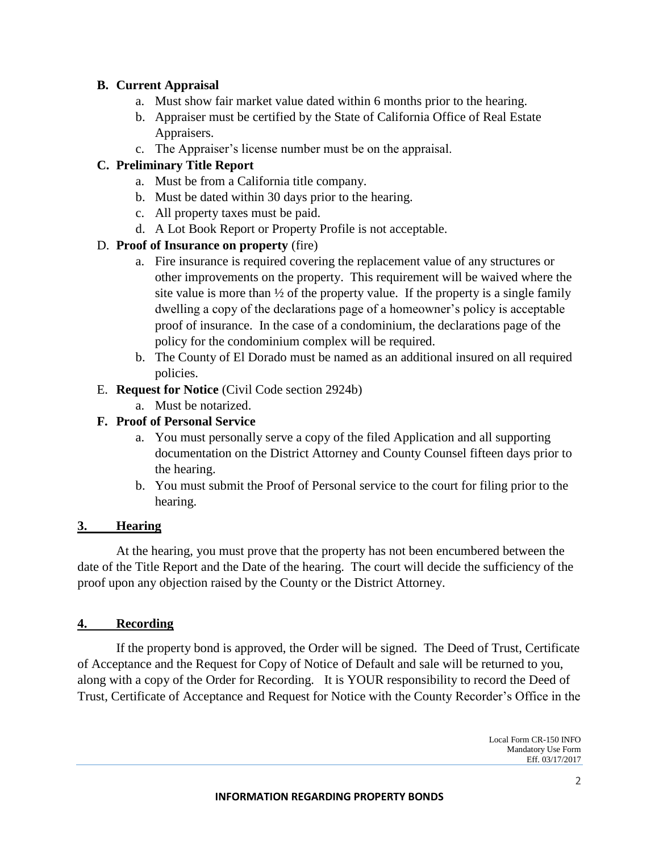### **B. Current Appraisal**

- a. Must show fair market value dated within 6 months prior to the hearing.
- b. Appraiser must be certified by the State of California Office of Real Estate Appraisers.
- c. The Appraiser's license number must be on the appraisal.

# **C. Preliminary Title Report**

- a. Must be from a California title company.
- b. Must be dated within 30 days prior to the hearing.
- c. All property taxes must be paid.
- d. A Lot Book Report or Property Profile is not acceptable.

# D. **Proof of Insurance on property** (fire)

- a. Fire insurance is required covering the replacement value of any structures or other improvements on the property. This requirement will be waived where the site value is more than  $\frac{1}{2}$  of the property value. If the property is a single family dwelling a copy of the declarations page of a homeowner's policy is acceptable proof of insurance. In the case of a condominium, the declarations page of the policy for the condominium complex will be required.
- b. The County of El Dorado must be named as an additional insured on all required policies.
- E. **Request for Notice** (Civil Code section 2924b)
	- a. Must be notarized.

### **F. Proof of Personal Service**

- a. You must personally serve a copy of the filed Application and all supporting documentation on the District Attorney and County Counsel fifteen days prior to the hearing.
- b. You must submit the Proof of Personal service to the court for filing prior to the hearing.

# **3. Hearing**

At the hearing, you must prove that the property has not been encumbered between the date of the Title Report and the Date of the hearing. The court will decide the sufficiency of the proof upon any objection raised by the County or the District Attorney.

# **4. Recording**

If the property bond is approved, the Order will be signed. The Deed of Trust, Certificate of Acceptance and the Request for Copy of Notice of Default and sale will be returned to you, along with a copy of the Order for Recording. It is YOUR responsibility to record the Deed of Trust, Certificate of Acceptance and Request for Notice with the County Recorder's Office in the

> Local Form CR-150 INFO Mandatory Use Form Eff. 03/17/2017